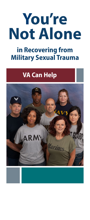# **You're Not Alone**

## in Recovering from Military Sexual Trauma

## VA Can Help

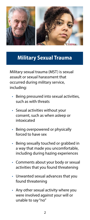

#### Military Sexual Trauma

Military sexual trauma (MST) is sexual assault or sexual harassment that occurred during military service, including:

- Being pressured into sexual activities, such as with threats
- Sexual activities without your consent, such as when asleep or intoxicated
- Being overpowered or physically forced to have sex
- Being sexually touched or grabbed in a way that made you uncomfortable, including during hazing experiences
- Comments about your body or sexual activities that you found threatening
- Unwanted sexual advances that you found threatening
- Any other sexual activity where you were involved against your will or unable to say "no"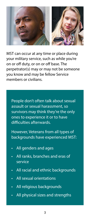

MST can occur at any time or place during your military service, such as while you're on or off duty, or on or off base. The perpetrator(s) may or may not be someone you know and may be fellow Service members or civilians.

People don't often talk about sexual assault or sexual harassment, so survivors may think they're the only ones to experience it or to have difficulties afterwards.

However, Veterans from all types of backgrounds have experienced MST:

- All genders and ages
- All ranks, branches and eras of service
- All racial and ethnic backgrounds
- All sexual orientations
- All religious backgrounds
- All physical sizes and strengths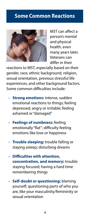#### Some Common Reactions



MST can affect a person's mental and physical health, even many years later. Veterans can differ in their

reactions to MST, especially based on their gender, race, ethnic background, religion, sexual orientation, previous stressful life experiences, and other background factors. Some common difficulties include:

- **Strong emotions:** intense, sudden emotional reactions to things; feeling depressed, angry or irritable; feeling ashamed or "damaged"
- **Feelings of numbness:** feeling emotionally "flat"; difficulty feeling emotions like love or happiness
- **Trouble sleeping:** trouble falling or staying asleep; disturbing dreams
- **Difficulties with attention, concentration, and memory:** trouble staying focused; having a hard time remembering things
- **Self-doubt or questioning:** blaming yourself; questioning parts of who you are, like your masculinity/femininity or sexual orientation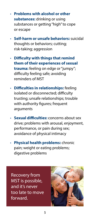- **Problems with alcohol or other substances:** drinking or using substances or getting "high" to cope or escape
- **Self-harm or unsafe behaviors:** suicidal thoughts or behaviors; cutting; risk-taking; aggression
- **Difficulty with things that remind them of their experiences of sexual trauma:** feeling on edge or "jumpy"; difficulty feeling safe; avoiding reminders of MST
- **Difficulties in relationships:** feeling isolated or disconnected; difficulty trusting; unsafe relationships; trouble with authority figures; frequent arguments
- **Sexual difficulties:** concerns about sex drive; problems with arousal, enjoyment, performance, or pain during sex; avoidance of physical intimacy
- **Physical health problems:** chronic pain; weight or eating problems; digestive problems

Recovery from MST is possible, and it's never too late to move forward.

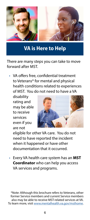

### VA is Here to Help

There are many steps you can take to move forward after MST.

• VA offers free, confidential treatment to Veterans\* for mental and physical health conditions related to experiences of MST. You do not need to have a VA

disability rating and may be able to receive services even if you are not



eligible for other VA care. You do not need to have reported the incident when it happened or have other documentation that it occurred.

• Every VA health care system has an **MST Coordinator** who can help you access VA services and programs.

\*Note: Although this brochure refers to Veterans, other former Service members and current Service members also may be able to receive MST-related services at VA. To learn more, visit [www.mentalhealth.va.gov/msthome](http://www.mentalhealth.va.gov/msthome.asp).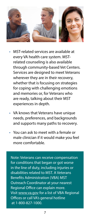

- MST-related services are available at every VA health care system. MSTrelated counseling is also available through community-based Vet Centers. Services are designed to meet Veterans wherever they are in their recovery, whether that is focusing on strategies for coping with challenging emotions and memories or, for Veterans who are ready, talking about their MST experiences in depth.
- VA knows that Veterans have unique needs, preferences, and backgrounds and supports many paths to recovery.
- You can ask to meet with a female or male clinician if it would make you feel more comfortable.

Note: Veterans can receive compensation for conditions that began or got worse in the line of duty, including injuries or disabilities related to MST. A Veterans Benefits Administration (VBA) MST Outreach Coordinator at your nearest Regional Office can explain more. Visit [www.va.gov](http://www.va.gov) for a list of VBA Regional Offices or call VA's general hotline at 1-800-827-1000.